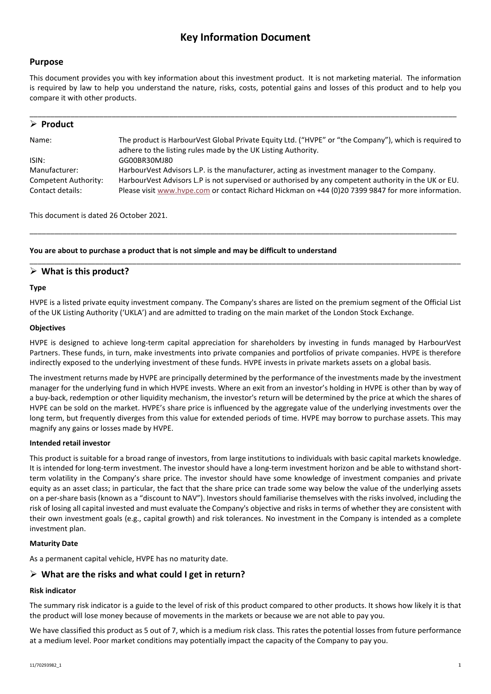# **Key Information Document**

### **Purpose**

This document provides you with key information about this investment product. It is not marketing material. The information is required by law to help you understand the nature, risks, costs, potential gains and losses of this product and to help you compare it with other products.

| $\triangleright$ Product                                  |                                                                                                                                                                                                                                                                                                          |
|-----------------------------------------------------------|----------------------------------------------------------------------------------------------------------------------------------------------------------------------------------------------------------------------------------------------------------------------------------------------------------|
| Name:                                                     | The product is HarbourVest Global Private Equity Ltd. ("HVPE" or "the Company"), which is required to<br>adhere to the listing rules made by the UK Listing Authority.                                                                                                                                   |
| ISIN:                                                     | GG00BR30MJ80                                                                                                                                                                                                                                                                                             |
| Manufacturer:<br>Competent Authority:<br>Contact details: | HarbourVest Advisors L.P. is the manufacturer, acting as investment manager to the Company.<br>HarbourVest Advisors L.P is not supervised or authorised by any competent authority in the UK or EU.<br>Please visit www.hvpe.com or contact Richard Hickman on +44 (0)20 7399 9847 for more information. |

This document is dated 26 October 2021.

#### **You are about to purchase a product that is not simple and may be difficult to understand**

### **What is this product?**

#### **Type**

HVPE is a listed private equity investment company. The Company's shares are listed on the premium segment of the Official List of the UK Listing Authority ('UKLA') and are admitted to trading on the main market of the London Stock Exchange.

\_\_\_\_\_\_\_\_\_\_\_\_\_\_\_\_\_\_\_\_\_\_\_\_\_\_\_\_\_\_\_\_\_\_\_\_\_\_\_\_\_\_\_\_\_\_\_\_\_\_\_\_\_\_\_\_\_\_\_\_\_\_\_\_\_\_\_\_\_\_\_\_\_\_\_\_\_\_\_\_\_\_\_\_\_\_\_\_\_\_\_\_\_\_\_\_\_\_\_\_\_\_\_\_

\_\_\_\_\_\_\_\_\_\_\_\_\_\_\_\_\_\_\_\_\_\_\_\_\_\_\_\_\_\_\_\_\_\_\_\_\_\_\_\_\_\_\_\_\_\_\_\_\_\_\_\_\_\_\_\_\_\_\_\_\_\_\_\_\_\_\_\_\_\_\_\_\_\_\_\_\_\_\_\_\_\_\_\_\_\_\_\_\_\_\_\_\_\_\_\_\_\_\_\_\_\_\_\_\_

#### **Objectives**

HVPE is designed to achieve long-term capital appreciation for shareholders by investing in funds managed by HarbourVest Partners. These funds, in turn, make investments into private companies and portfolios of private companies. HVPE is therefore indirectly exposed to the underlying investment of these funds. HVPE invests in private markets assets on a global basis.

The investment returns made by HVPE are principally determined by the performance of the investments made by the investment manager for the underlying fund in which HVPE invests. Where an exit from an investor's holding in HVPE is other than by way of a buy-back, redemption or other liquidity mechanism, the investor's return will be determined by the price at which the shares of HVPE can be sold on the market. HVPE's share price is influenced by the aggregate value of the underlying investments over the long term, but frequently diverges from this value for extended periods of time. HVPE may borrow to purchase assets. This may magnify any gains or losses made by HVPE.

#### **Intended retail investor**

This product is suitable for a broad range of investors, from large institutions to individuals with basic capital markets knowledge. It is intended for long-term investment. The investor should have a long-term investment horizon and be able to withstand shortterm volatility in the Company's share price. The investor should have some knowledge of investment companies and private equity as an asset class; in particular, the fact that the share price can trade some way below the value of the underlying assets on a per-share basis (known as a "discount to NAV"). Investors should familiarise themselves with the risks involved, including the risk of losing all capital invested and must evaluate the Company's objective and risks in terms of whether they are consistent with their own investment goals (e.g., capital growth) and risk tolerances. No investment in the Company is intended as a complete investment plan.

#### **Maturity Date**

As a permanent capital vehicle, HVPE has no maturity date.

### **What are the risks and what could I get in return?**

#### **Risk indicator**

The summary risk indicator is a guide to the level of risk of this product compared to other products. It shows how likely it is that the product will lose money because of movements in the markets or because we are not able to pay you.

We have classified this product as 5 out of 7, which is a medium risk class. This rates the potential losses from future performance at a medium level. Poor market conditions may potentially impact the capacity of the Company to pay you.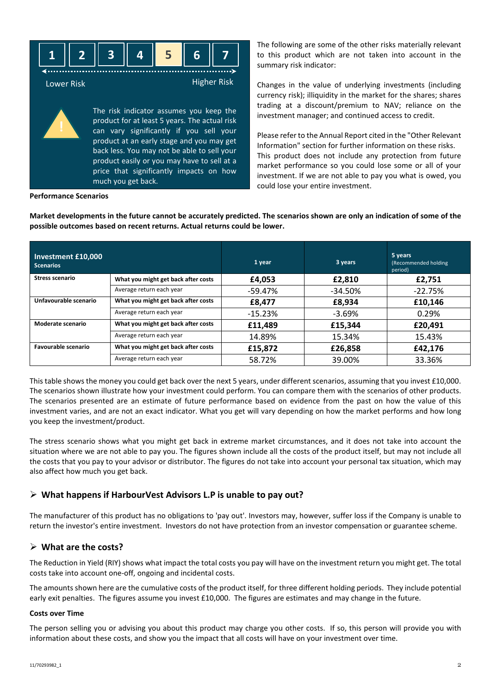

The following are some of the other risks materially relevant to this product which are not taken into account in the summary risk indicator:

Changes in the value of underlying investments (including currency risk); illiquidity in the market for the shares; shares trading at a discount/premium to NAV; reliance on the investment manager; and continued access to credit.

Please refer to the Annual Report cited in the "Other Relevant Information" section for further information on these risks. This product does not include any protection from future market performance so you could lose some or all of your investment. If we are not able to pay you what is owed, you could lose your entire investment.

**Performance Scenarios**

**Market developments in the future cannot be accurately predicted. The scenarios shown are only an indication of some of the possible outcomes based on recent returns. Actual returns could be lower.**

| Investment £10,000<br><b>Scenarios</b> |                                     | 1 year    | 3 years    | 5 years<br>(Recommended holding)<br>period) |
|----------------------------------------|-------------------------------------|-----------|------------|---------------------------------------------|
| Stress scenario                        | What you might get back after costs | £4,053    | £2,810     | £2.751                                      |
|                                        | Average return each year            | -59.47%   | $-34.50\%$ | $-22.75%$                                   |
| Unfavourable scenario                  | What you might get back after costs | £8,477    | £8,934     | £10,146                                     |
|                                        | Average return each year            | $-15.23%$ | $-3.69%$   | 0.29%                                       |
| Moderate scenario                      | What you might get back after costs | £11,489   | £15,344    | £20,491                                     |
|                                        | Average return each year            | 14.89%    | 15.34%     | 15.43%                                      |
| Favourable scenario                    | What you might get back after costs | £15,872   | £26,858    | £42,176                                     |
|                                        | Average return each year            | 58.72%    | 39.00%     | 33.36%                                      |

This table shows the money you could get back over the next 5 years, under different scenarios, assuming that you invest £10,000. The scenarios shown illustrate how your investment could perform. You can compare them with the scenarios of other products. The scenarios presented are an estimate of future performance based on evidence from the past on how the value of this investment varies, and are not an exact indicator. What you get will vary depending on how the market performs and how long you keep the investment/product.

The stress scenario shows what you might get back in extreme market circumstances, and it does not take into account the situation where we are not able to pay you. The figures shown include all the costs of the product itself, but may not include all the costs that you pay to your advisor or distributor. The figures do not take into account your personal tax situation, which may also affect how much you get back.

## **What happens if HarbourVest Advisors L.P is unable to pay out?**

The manufacturer of this product has no obligations to 'pay out'. Investors may, however, suffer loss if the Company is unable to return the investor's entire investment. Investors do not have protection from an investor compensation or guarantee scheme.

### **What are the costs?**

The Reduction in Yield (RIY) shows what impact the total costs you pay will have on the investment return you might get. The total costs take into account one-off, ongoing and incidental costs.

The amounts shown here are the cumulative costs of the product itself, for three different holding periods. They include potential early exit penalties. The figures assume you invest £10,000. The figures are estimates and may change in the future.

#### **Costs over Time**

The person selling you or advising you about this product may charge you other costs. If so, this person will provide you with information about these costs, and show you the impact that all costs will have on your investment over time.